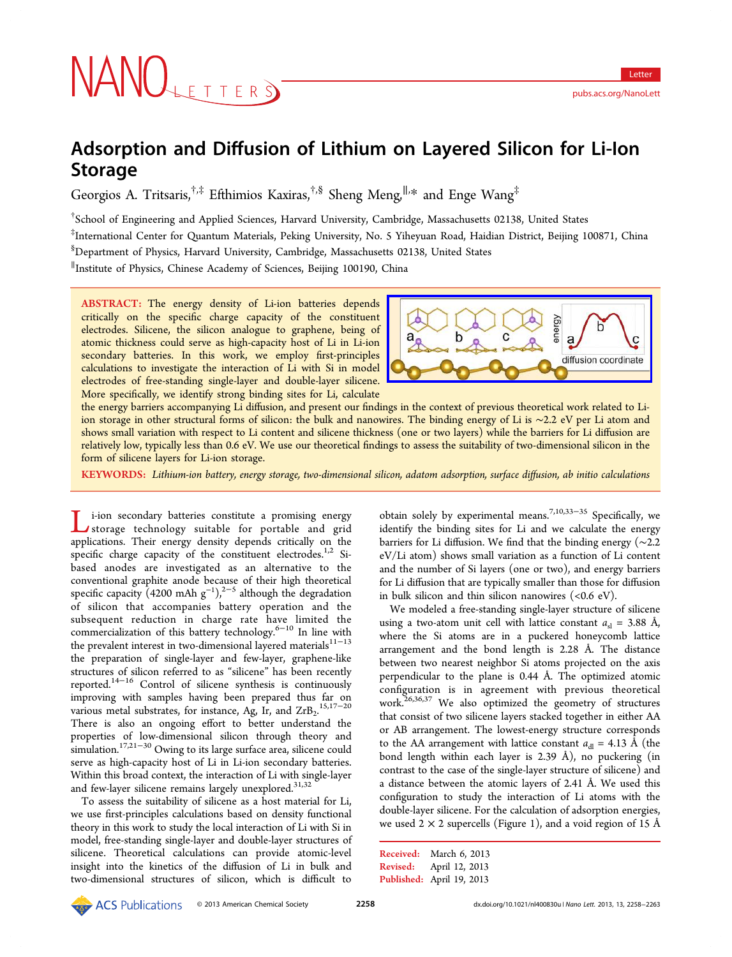# Adsorption and Diffusion of Lithium on Layered Silicon for Li-Ion Storage

Georgios A. Tritsaris, $^{\dagger,\ddagger}$  Efthimios Kaxiras, $^{\dagger,\$}$  Sheng Meng, $^{\parallel,\ast}$  and Enge Wang $^{\ddagger}$ 

† School of Engineering and Applied Sciences, Harvard University, Cambridge, Massachusetts 02138, United States

‡ International Center for Quantum Materials, Peking University, No. 5 Yiheyuan Road, Haidian District, Beijing 100871, China § Department of Physics, Harvard University, Cambridge, Massachusetts 02138, United States

∥ Institute of Physics, Chinese Academy of Sciences, Beijing 100190, China

ABSTRACT: The energy density of Li-ion batteries depends critically on the specific charge capacity of the constituent electrodes. Silicene, the silicon analogue to graphene, being of atomic thickness could serve as high-capacity host of Li in Li-ion secondary batteries. In this work, we employ first-principles calculations to investigate the interaction of Li with Si in model electrodes of free-standing single-layer and double-layer silicene. More specifically, we identify strong binding sites for Li, calculate



the energy barriers accompanying Li diffusion, and present our findin[gs in the context of previous theoretical work related to Li](http://pubs.acs.org/action/showImage?doi=10.1021/nl400830u&iName=master.img-000.jpg&w=220&h=69)ion storage in other structural forms of silicon: the bulk and nanowires. The binding energy of Li is ∼2.2 eV per Li atom and shows small variation with respect to Li content and silicene thickness (one or two layers) while the barriers for Li diffusion are relatively low, typically less than 0.6 eV. We use our theoretical findings to assess the suitability of two-dimensional silicon in the form of silicene layers for Li-ion storage.

KEYWORDS: Lithium-ion battery, energy storage, two-dimensional silicon, adatom adsorption, surface diffusion, ab initio calculations

i-ion secondary batteries constitute a promising energy storage technology suitable for portable and grid applications. Their energy density depends critically on the specific charge capacity of the constituent electrodes.<sup>1,2</sup> Sibased anodes are investigated as an alternative to the conventional graphite anode because of their high the[ore](#page-4-0)tical specific capacity (4200 mAh  $g^{-1}$ ),<sup>2-5</sup> although the degradation of silicon that accompanies battery operation and the subsequent reduction in char[ge](#page-4-0) rate have limited the commercialization of this battery technology.6−<sup>10</sup> In line with the prevalent interest in two-dimensional layered materials $11-13$ the preparation of single-layer and few-lay[er](#page-4-0), [g](#page-4-0)raphene-like structures of silicon referred to as "silicene" has been re[cently](#page-4-0) reported.14−<sup>16</sup> Control of silicene synthesis is continuously improving with samples having been prepared thus far on various [me](#page-4-0)t[al](#page-5-0) substrates, for instance, Ag, Ir, and  $ZrB_2$ .<sup>15,17–20</sup> There is also an ongoing effort to better understand the properties of low-dimensional silicon through theo[ry](#page-4-0) [and](#page-5-0) simulation.17,21−<sup>30</sup> Owing to its large surface area, silicene could serve as high-capacity host of Li in Li-ion secondary batteries. Within thi[s bro](#page-5-0)a[d](#page-5-0) context, the interaction of Li with single-layer and few-layer silicene remains largely unexplored.<sup>31,32</sup>

To assess the suitability of silicene as a host material for Li, we use first-principles calculations based on dens[ity fu](#page-5-0)nctional theory in this work to study the local interaction of Li with Si in model, free-standing single-layer and double-layer structures of silicene. Theoretical calculations can provide atomic-level insight into the kinetics of the diffusion of Li in bulk and two-dimensional structures of silicon, which is difficult to

obtain solely by experimental means.<sup>7,10,33–35</sup> Specifically, we identify the binding sites for Li and we calculate the energy barriers for Li diffusion. We find that [the](#page-4-0) [bindi](#page-5-0)ng energy (∼2.2 eV/Li atom) shows small variation as a function of Li content and the number of Si layers (one or two), and energy barriers for Li diffusion that are typically smaller than those for diffusion in bulk silicon and thin silicon nanowires  $(<0.6$  eV).

We modeled a free-standing single-layer structure of silicene using a two-atom unit cell with lattice constant  $a_{sl} = 3.88$  Å, where the Si atoms are in a puckered honeycomb lattice arrangement and the bond length is 2.28 Å. The distance between two nearest neighbor Si atoms projected on the axis perpendicular to the plane is 0.44 Å. The optimized atomic configuration is in agreement with previous theoretical work.<sup>26,36,37</sup> We also optimized the geometry of structures that consist of two silicene layers stacked together in either AA or A[B](#page-5-0) [arran](#page-5-0)gement. The lowest-energy structure corresponds to the AA arrangement with lattice constant  $a_{d}$  = 4.13 Å (the bond length within each layer is 2.39 Å), no puckering (in contrast to the case of the single-layer structure of silicene) and a distance between the atomic layers of 2.41 Å. We used this configuration to study the interaction of Li atoms with the double-layer silicene. For the calculation of adsorption energies, we used  $2 \times 2$  supercells (Figure 1), and a void region of 15 Å

```
Received: March 6, 2013
Revised: April 12, 2013
Published: April 19, 2013
```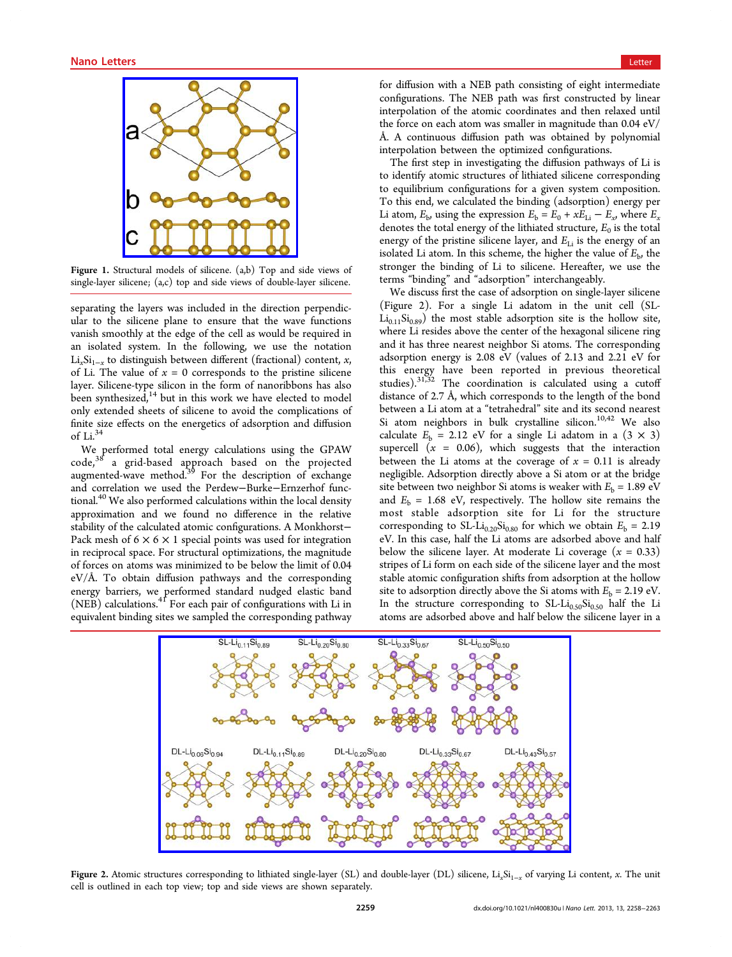<span id="page-1-0"></span>

Figure 1. Str[uctural models of silicene. \(a,b\) Top and](http://pubs.acs.org/action/showImage?doi=10.1021/nl400830u&iName=master.img-001.jpg&w=144&h=148) side views of single-layer silicene; (a,c) top and side views of double-layer silicene.

separating the layers was included in the direction perpendicular to the silicene plane to ensure that the wave functions vanish smoothly at the edge of the cell as would be required in an isolated system. In the following, we use the notation  $Li<sub>x</sub>Si<sub>1-x</sub>$  to distinguish between different (fractional) content, x, of Li. The value of  $x = 0$  corresponds to the pristine silicene layer. Silicene-type silicon in the form of nanoribbons has also been synthesized, $14$  but in this work we have elected to model only extended sheets of silicene to avoid the complications of finite size effects [on](#page-4-0) the energetics of adsorption and diffusion of Li.<sup>34</sup>

We performed total energy calculations using the GPAW code,  $3^8$  a grid-based approach based on the projected code,<sup>[38](#page-5-0)</sup> a grid-based approach based on the projected augmented-wave method.<sup>39</sup> For the description of exchange and [cor](#page-5-0)relation we used the Perdew−Burke−Ernzerhof functional.<sup>40</sup> We also performe[d](#page-5-0) calculations within the local density approximation and we found no difference in the relative stabili[ty](#page-5-0) of the calculated atomic configurations. A Monkhorst− Pack mesh of  $6 \times 6 \times 1$  special points was used for integration in reciprocal space. For structural optimizations, the magnitude of forces on atoms was minimized to be below the limit of 0.04 eV/Å. To obtain diffusion pathways and the corresponding energy barriers, we performed standard nudged elastic band  $(NEB)$  calculations.<sup>41</sup> For each pair of configurations with Li in equivalent binding sites we sampled the corresponding pathway

for diffusion with a NEB path consisting of eight intermediate configurations. The NEB path was first constructed by linear interpolation of the atomic coordinates and then relaxed until the force on each atom was smaller in magnitude than 0.04 eV/ Å. A continuous diffusion path was obtained by polynomial interpolation between the optimized configurations.

The first step in investigating the diffusion pathways of Li is to identify atomic structures of lithiated silicene corresponding to equilibrium configurations for a given system composition. To this end, we calculated the binding (adsorption) energy per Li atom,  $E_{\rm b}$ , using the expression  $E_{\rm b} = E_0 + xE_{\rm Li} - E_x$ , where  $E_x$ denotes the total energy of the lithiated structure,  $E_0$  is the total energy of the pristine silicene layer, and  $E_{Li}$  is the energy of an isolated Li atom. In this scheme, the higher the value of  $E<sub>b</sub>$ , the stronger the binding of Li to silicene. Hereafter, we use the terms "binding" and "adsorption" interchangeably.

We discuss first the case of adsorption on single-layer silicene (Figure 2). For a single Li adatom in the unit cell (SL- $Li_{0.11}Si_{0.89}$ ) the most stable adsorption site is the hollow site, where Li resides above the center of the hexagonal silicene ring and it has three nearest neighbor Si atoms. The corresponding adsorption energy is 2.08 eV (values of 2.13 and 2.21 eV for this energy have been reported in previous theoretical studies).<sup>31,32</sup> The coordination is calculated using a cutoff distance of 2.7 Å, which corresponds to the length of the bond between [a Li](#page-5-0) atom at a "tetrahedral" site and its second nearest Si atom neighbors in bulk crystalline silicon.<sup>10,42</sup> We also calculate  $E_b = 2.12$  eV for a single Li adatom in a  $(3 \times 3)$ supercell  $(x = 0.06)$ , which suggests that t[he](#page-4-0) [i](#page-5-0)nteraction between the Li atoms at the coverage of  $x = 0.11$  is already negligible. Adsorption directly above a Si atom or at the bridge site between two neighbor Si atoms is weaker with  $E<sub>b</sub> = 1.89$  eV and  $E<sub>b</sub> = 1.68$  eV, respectively. The hollow site remains the most stable adsorption site for Li for the structure corresponding to SL-Li<sub>0.20</sub>Si<sub>0.80</sub> for which we obtain  $E<sub>b</sub> = 2.19$ eV. In this case, half the Li atoms are adsorbed above and half below the silicene layer. At moderate Li coverage  $(x = 0.33)$ stripes of Li form on each side of the silicene layer and the most stable atomic configuration shifts from adsorption at the hollow site to adsorption directly above the Si atoms with  $E_b = 2.19 \text{ eV}$ . In the structure corresponding to  $SL-Li_{0.50}Si_{0.50}$  half the Li atoms are adsorbed above and half below the silicene layer in a



Figure 2. Atomic stru[ctures corresponding to lithiated single-layer \(SL\) and double-layer \(DL\) silicene, Li](http://pubs.acs.org/action/showImage?doi=10.1021/nl400830u&iName=master.img-002.jpg&w=347&h=180)<sub>x</sub>Si<sub>1-x</sub> of varying Li content, x. The unit cell is outlined in each top view; top and side views are shown separately.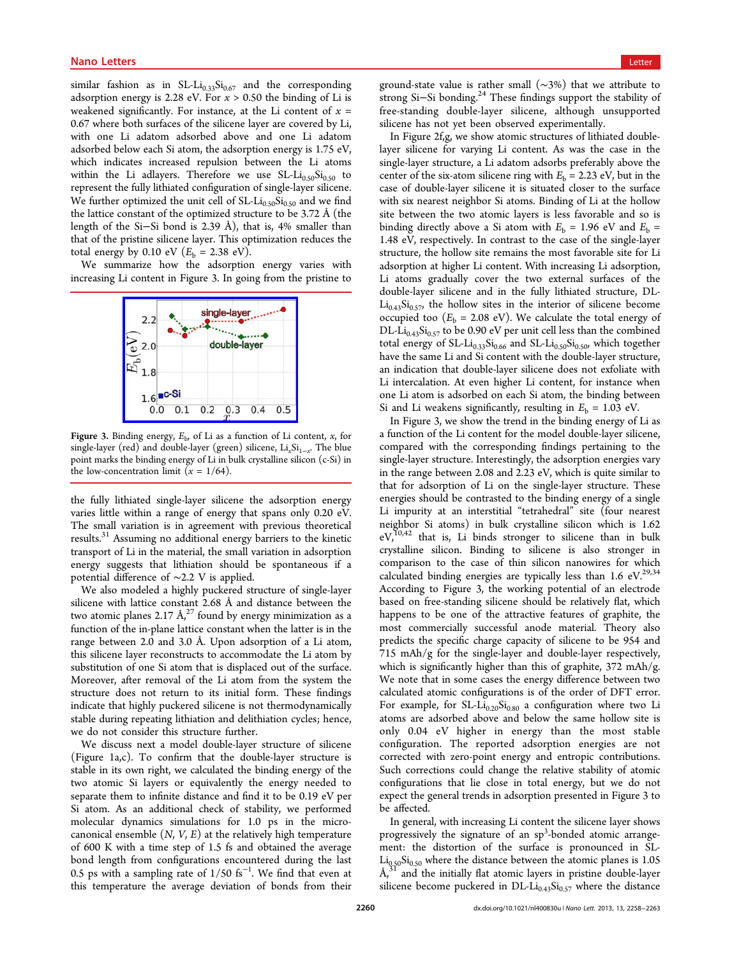<span id="page-2-0"></span>similar fashion as in SL-Li $_{0.33}$ Si $_{0.67}$  and the corresponding adsorption energy is 2.28 eV. For  $x > 0.50$  the binding of Li is weakened significantly. For instance, at the Li content of  $x =$ 0.67 where both surfaces of the silicene layer are covered by Li, with one Li adatom adsorbed above and one Li adatom adsorbed below each Si atom, the adsorption energy is 1.75 eV, which indicates increased repulsion between the Li atoms within the Li adlayers. Therefore we use  $SL-Li_{0.50}Si_{0.50}$  to represent the fully lithiated configuration of single-layer silicene. We further optimized the unit cell of  $SL-Li_{0.50}Si_{0.50}$  and we find the lattice constant of the optimized structure to be 3.72 Å (the length of the Si−Si bond is 2.39 Å), that is, 4% smaller than that of the pristine silicene layer. This optimization reduces the total energy by 0.10 eV ( $E_b = 2.38$  eV).

We summarize how the adsorption energy varies with increasing Li content in Figure 3. In going from the pristine to



Figure 3. Binding energy,  $E_{\rm b}$ , of Li as a function of Li content, x, for single-layer (red) and double-layer (green) silicene,  $Li_xSi_{1-x}$ . The blue point marks the binding energy of Li in bulk crystalline silicon (c-Si) in the low-concentration limit  $(x = 1/64)$ .

the fully lithiated single-layer silicene the adsorption energy varies little within a range of energy that spans only 0.20 eV. The small variation is in agreement with previous theoretical results.<sup>31</sup> Assuming no additional energy barriers to the kinetic transport of Li in the material, the small variation in adsorption energy [s](#page-5-0)uggests that lithiation should be spontaneous if a potential difference of ∼2.2 V is applied.

We also modeled a highly puckered structure of single-layer silicene with lattice constant 2.68 Å and distance between the two atomic planes 2.17  $\AA$ ,<sup>27</sup> found by energy minimization as a function of the in-plane lattice constant when the latter is in the range between 2.0 and 3[.0](#page-5-0) Å. Upon adsorption of a Li atom, this silicene layer reconstructs to accommodate the Li atom by substitution of one Si atom that is displaced out of the surface. Moreover, after removal of the Li atom from the system the structure does not return to its initial form. These findings indicate that highly puckered silicene is not thermodynamically stable during repeating lithiation and delithiation cycles; hence, we do not consider this structure further.

We discuss next a model double-layer structure of silicene (Figure 1a,c). To confirm that the double-layer structure is stable in its own right, we calculated the binding energy of the two ato[m](#page-1-0)ic Si layers or equivalently the energy needed to separate them to infinite distance and find it to be 0.19 eV per Si atom. As an additional check of stability, we performed molecular dynamics simulations for 1.0 ps in the microcanonical ensemble  $(N, V, E)$  at the relatively high temperature of 600 K with a time step of 1.5 fs and obtained the average bond length from configurations encountered during the last 0.5 ps with a sampling rate of  $1/50$  fs<sup>-1</sup>. We find that even at this temperature the average deviation of bonds from their

ground-state value is rather small (∼3%) that we attribute to strong Si−Si bonding.<sup>24</sup> These findings support the stability of free-standing double-layer silicene, although unsupported silicene has not yet b[een](#page-5-0) observed experimentally.

In Figure 2f,g, we show atomic structures of lithiated doublelayer silicene for varying Li content. As was the case in the single-layer [str](#page-1-0)ucture, a Li adatom adsorbs preferably above the center of the six-atom silicene ring with  $E<sub>b</sub> = 2.23$  eV, but in the case of double-layer silicene it is situated closer to the surface with six nearest neighbor Si atoms. Binding of Li at the hollow site between the two atomic layers is less favorable and so is binding directly above a Si atom with  $E_b = 1.96$  eV and  $E_b =$ 1.48 eV, respectively. In contrast to the case of the single-layer structure, the hollow site remains the most favorable site for Li adsorption at higher Li content. With increasing Li adsorption, Li atoms gradually cover the two external surfaces of the double-layer silicene and in the fully lithiated structure, DL- $Li_{0.43}Si_{0.57}$ , the hollow sites in the interior of silicene become occupied too ( $E<sub>b</sub> = 2.08$  eV). We calculate the total energy of DL-Li<sub>0.43</sub>Si<sub>0.57</sub> to be 0.90 eV per unit cell less than the combined total energy of  $SL-Li_{0.33}Si_{0.66}$  and  $SL-Li_{0.50}Si_{0.50}$ , which together have the same Li and Si content with the double-layer structure, an indication that double-layer silicene does not exfoliate with Li intercalation. At even higher Li content, for instance when one Li atom is adsorbed on each Si atom, the binding between Si and Li weakens significantly, resulting in  $E<sub>b</sub> = 1.03$  eV.

In Figure 3, we show the trend in the binding energy of Li as a function of the Li content for the model double-layer silicene, compared with the corresponding findings pertaining to the single-layer structure. Interestingly, the adsorption energies vary in the range between 2.08 and 2.23 eV, which is quite similar to that for adsorption of Li on the single-layer structure. These energies should be contrasted to the binding energy of a single Li impurity at an interstitial "tetrahedral" site (four nearest neighbor Si atoms) in bulk crystalline silicon which is 1.62  $eV,^{10,42}$  that is, Li binds stronger to silicene than in bulk crystalline silicon. Binding to silicene is also stronger in co[mp](#page-4-0)[ar](#page-5-0)ison to the case of thin silicon nanowires for which calculated binding energies are typically less than  $1.6 \text{ eV}^{29,34}$ According to Figure 3, the working potential of an electrode based on free-standing silicene should be relatively flat, w[hich](#page-5-0) happens to be one of the attractive features of graphite, the most commercially successful anode material. Theory also predicts the specific charge capacity of silicene to be 954 and 715 mAh/g for the single-layer and double-layer respectively, which is significantly higher than this of graphite, 372 mAh/g. We note that in some cases the energy difference between two calculated atomic configurations is of the order of DFT error. For example, for  $SL-Li_{0.20}Si_{0.80}$  a configuration where two Li atoms are adsorbed above and below the same hollow site is only 0.04 eV higher in energy than the most stable configuration. The reported adsorption energies are not corrected with zero-point energy and entropic contributions. Such corrections could change the relative stability of atomic configurations that lie close in total energy, but we do not expect the general trends in adsorption presented in Figure 3 to be affected.

In general, with increasing Li content the silicene layer shows progressively the signature of an sp<sup>3</sup>-bonded atomic arrangement: the distortion of the surface is pronounced in SL- $Li_{0.50}Si_{0.50}$  where the distance between the atomic planes is 1.05  $\AA$ <sup>31</sup> and the initially flat atomic layers in pristine double-layer silicene become puckered in  $DL-Li_{0.43}Si_{0.57}$  where the distance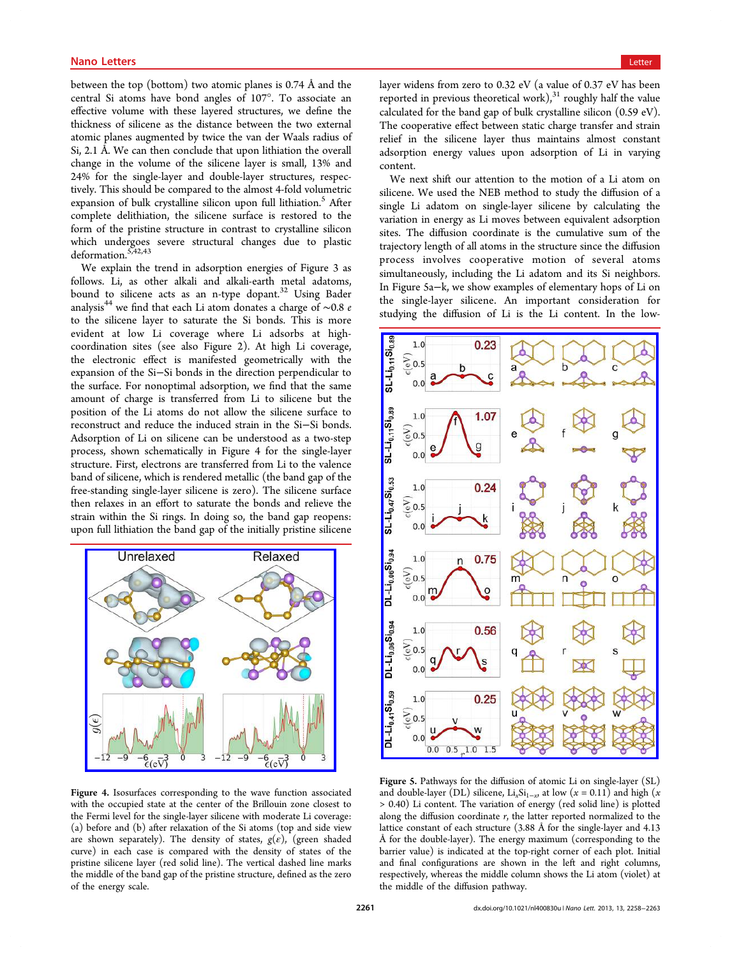<span id="page-3-0"></span>between the top (bottom) two atomic planes is 0.74 Å and the central Si atoms have bond angles of 107°. To associate an effective volume with these layered structures, we define the thickness of silicene as the distance between the two external atomic planes augmented by twice the van der Waals radius of Si, 2.1 Å. We can then conclude that upon lithiation the overall change in the volume of the silicene layer is small, 13% and 24% for the single-layer and double-layer structures, respectively. This should be compared to the almost 4-fold volumetric expansion of bulk crystalline silicon upon full lithiation.<sup>5</sup> After complete delithiation, the silicene surface is restored to the form of the pristine structure in contrast to crystalline [s](#page-4-0)ilicon which undergoes severe structural changes due to plastic deformation.5,42,43

We explain the trend in adsorption energies of Figure 3 as follows. Li, [a](#page-4-0)[s ot](#page-5-0)her alkali and alkali-earth metal adatoms, bound to silicene acts as an n-type dopant.<sup>32</sup> Using B[ad](#page-2-0)er analysis<sup>44</sup> we find that each Li atom donates a charge of ∼0.8 e to the silicene layer to saturate the Si bond[s.](#page-5-0) This is more evident [a](#page-5-0)t low Li coverage where Li adsorbs at highcoordination sites (see also Figure 2). At high Li coverage, the electronic effect is manifested geometrically with the expansion of the Si−Si bonds in the [di](#page-1-0)rection perpendicular to the surface. For nonoptimal adsorption, we find that the same amount of charge is transferred from Li to silicene but the position of the Li atoms do not allow the silicene surface to reconstruct and reduce the induced strain in the Si−Si bonds. Adsorption of Li on silicene can be understood as a two-step process, shown schematically in Figure 4 for the single-layer structure. First, electrons are transferred from Li to the valence band of silicene, which is rendered metallic (the band gap of the free-standing single-layer silicene is zero). The silicene surface then relaxes in an effort to saturate the bonds and relieve the strain within the Si rings. In doing so, the band gap reopens: upon full lithiation the band gap of the initially pristine silicene



Figure 4. [Isosurfaces corresponding to the wave function assoc](http://pubs.acs.org/action/showImage?doi=10.1021/nl400830u&iName=master.img-004.jpg&w=208&h=185)iated with the occupied state at the center of the Brillouin zone closest to the Fermi level for the single-layer silicene with moderate Li coverage: (a) before and (b) after relaxation of the Si atoms (top and side view are shown separately). The density of states,  $g(\varepsilon)$ , (green shaded curve) in each case is compared with the density of states of the pristine silicene layer (red solid line). The vertical dashed line marks the middle of the band gap of the pristine structure, defined as the zero of the energy scale.

layer widens from zero to 0.32 eV (a value of 0.37 eV has been reported in previous theoretical work), $31$  roughly half the value calculated for the band gap of bulk crystalline silicon (0.59 eV). The cooperative effect between static [cha](#page-5-0)rge transfer and strain relief in the silicene layer thus maintains almost constant adsorption energy values upon adsorption of Li in varying content.

We next shift our attention to the motion of a Li atom on silicene. We used the NEB method to study the diffusion of a single Li adatom on single-layer silicene by calculating the variation in energy as Li moves between equivalent adsorption sites. The diffusion coordinate is the cumulative sum of the trajectory length of all atoms in the structure since the diffusion process involves cooperative motion of several atoms simultaneously, including the Li adatom and its Si neighbors. In Figure 5a−k, we show examples of elementary hops of Li on the single-layer silicene. An important consideration for studying the diffusion of Li is the Li content. In the low-



Figure 5. Pathways for the diff[usion of atomic Li on single-layer \(SL](http://pubs.acs.org/action/showImage?doi=10.1021/nl400830u&iName=master.img-005.jpg&w=230&h=359)) and double-layer (DL) silicene, Li<sub>x</sub>Si<sub>1-x</sub>, at low (x = 0.11) and high (x > 0.40) Li content. The variation of energy (red solid line) is plotted along the diffusion coordinate  $r$ , the latter reported normalized to the lattice constant of each structure (3.88 Å for the single-layer and 4.13 Å for the double-layer). The energy maximum (corresponding to the barrier value) is indicated at the top-right corner of each plot. Initial and final configurations are shown in the left and right columns, respectively, whereas the middle column shows the Li atom (violet) at the middle of the diffusion pathway.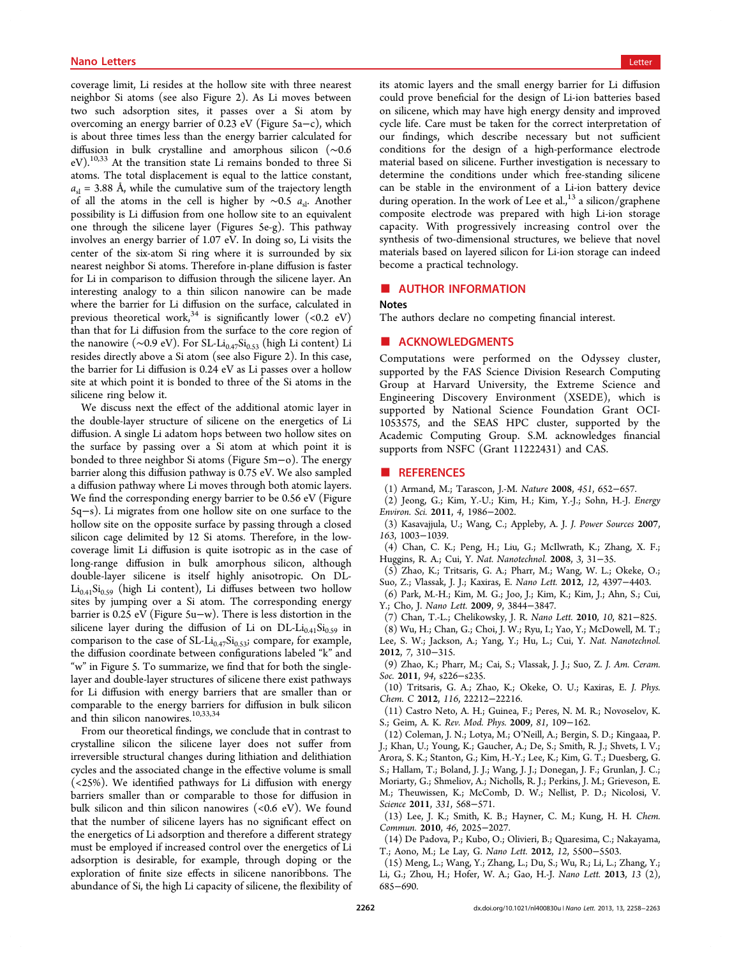<span id="page-4-0"></span>coverage limit, Li resides at the hollow site with three nearest neighbor Si atoms (see also Figure 2). As Li moves between two such adsorption sites, it passes over a Si atom by overcoming an energy barrier of 0.2[3 e](#page-1-0)V (Figure 5a−c), which is about three times less than the energy barrier calculated for diffusion in bulk crystalline and amorphous [sil](#page-3-0)icon (∼0.6 eV).<sup>10,33</sup> At the transition state Li remains bonded to three Si atoms. The total displacement is equal to the lattice constant,  $a_{\rm sl}$  = [3.88](#page-5-0) Å, while the cumulative sum of the trajectory length of all the atoms in the cell is higher by ∼0.5  $a_{sl}$ . Another possibility is Li diffusion from one hollow site to an equivalent one through the silicene layer (Figures 5e-g). This pathway involves an energy barrier of 1.07 eV. In doing so, Li visits the center of the six-atom Si ring where it [is](#page-3-0) surrounded by six nearest neighbor Si atoms. Therefore in-plane diffusion is faster for Li in comparison to diffusion through the silicene layer. An interesting analogy to a thin silicon nanowire can be made where the barrier for Li diffusion on the surface, calculated in previous theoretical work,  $34$  is significantly lower (<0.2 eV) than that for Li diffusion from the surface to the core region of the nanowire (∼0.9 eV). F[or](#page-5-0) SL-Li<sub>0.47</sub>Si<sub>0.53</sub> (high Li content) Li resides directly above a Si atom (see also Figure 2). In this case, the barrier for Li diffusion is 0.24 eV as Li passes over a hollow site at which point it is bonded to three of the [Si](#page-1-0) atoms in the silicene ring below it.

We discuss next the effect of the additional atomic layer in the double-layer structure of silicene on the energetics of Li diffusion. A single Li adatom hops between two hollow sites on the surface by passing over a Si atom at which point it is bonded to three neighbor Si atoms (Figure 5m−o). The energy barrier along this diffusion pathway is 0.75 eV. We also sampled a diffusion pathway where Li moves throug[h b](#page-3-0)oth atomic layers. We find the corresponding energy barrier to be 0.56 eV (Figure 5q−s). Li migrates from one hollow site on one surface to the hollow site on the opposite surface by passing through a closed [si](#page-3-0)licon cage delimited by 12 Si atoms. Therefore, in the lowcoverage limit Li diffusion is quite isotropic as in the case of long-range diffusion in bulk amorphous silicon, although double-layer silicene is itself highly anisotropic. On DL- $Li_{0.41}Si_{0.59}$  (high Li content), Li diffuses between two hollow sites by jumping over a Si atom. The corresponding energy barrier is 0.25 eV (Figure 5u−w). There is less distortion in the silicene layer during the diffusion of Li on  $DL-Li_{0.41}Si_{0.59}$  in comparison to the case of  $SL-Li_{0.47}Si_{0.53}$ ; compare, for example, the diffusion coordinate between configurations labeled "k" and "w" in Figure 5. To summarize, we find that for both the singlelayer and double-layer structures of silicene there exist pathways for Li diffusi[on](#page-3-0) with energy barriers that are smaller than or comparable to the energy barriers for diffusion in bulk silicon and thin silicon nanowires.<sup>10,33,34</sup>

From our theoretical findings, we conclude that in contrast to crystalline silicon the silic[ene l](#page-5-0)ayer does not suffer from irreversible structural changes during lithiation and delithiation cycles and the associated change in the effective volume is small (<25%). We identified pathways for Li diffusion with energy barriers smaller than or comparable to those for diffusion in bulk silicon and thin silicon nanowires (<0.6 eV). We found that the number of silicene layers has no significant effect on the energetics of Li adsorption and therefore a different strategy must be employed if increased control over the energetics of Li adsorption is desirable, for example, through doping or the exploration of finite size effects in silicene nanoribbons. The abundance of Si, the high Li capacity of silicene, the flexibility of its atomic layers and the small energy barrier for Li diffusion could prove beneficial for the design of Li-ion batteries based on silicene, which may have high energy density and improved cycle life. Care must be taken for the correct interpretation of our findings, which describe necessary but not sufficient conditions for the design of a high-performance electrode material based on silicene. Further investigation is necessary to determine the conditions under which free-standing silicene can be stable in the environment of a Li-ion battery device during operation. In the work of Lee et al.,<sup>13</sup> a silicon/graphene composite electrode was prepared with high Li-ion storage capacity. With progressively increasing control over the synthesis of two-dimensional structures, we believe that novel materials based on layered silicon for Li-ion storage can indeed become a practical technology.

## ■ AUTHOR INFORMATION

#### Notes

The authors declare no competing financial interest.

### ■ ACKNOWLEDGMENTS

Computations were performed on the Odyssey cluster, supported by the FAS Science Division Research Computing Group at Harvard University, the Extreme Science and Engineering Discovery Environment (XSEDE), which is supported by National Science Foundation Grant OCI-1053575, and the SEAS HPC cluster, supported by the Academic Computing Group. S.M. acknowledges financial supports from NSFC (Grant 11222431) and CAS.

## ■ REFERENCES

- (1) Armand, M.; Tarascon, J.-M. Nature 2008, 451, 652−657.
- (2) Jeong, G.; Kim, Y.-U.; Kim, H.; Kim, Y.-J.; Sohn, H.-J. Energy Environ. Sci. 2011, 4, 1986−2002.
- (3) Kasavajjula, U.; Wang, C.; Appleby, A. J. J. Power Sources 2007, 163, 1003−1039.
- (4) Chan, C. K.; Peng, H.; Liu, G.; McIlwrath, K.; Zhang, X. F.; Huggins, R. A.; Cui, Y. Nat. Nanotechnol. 2008, 3, 31−35.
- (5) Zhao, K.; Tritsaris, G. A.; Pharr, M.; Wang, W. L.; Okeke, O.; Suo, Z.; Vlassak, J. J.; Kaxiras, E. Nano Lett. 2012, 12, 4397−4403.
- (6) Park, M.-H.; Kim, M. G.; Joo, J.; Kim, K.; Kim, J.; Ahn, S.; Cui, Y.; Cho, J. Nano Lett. 2009, 9, 3844−3847.
- (7) Chan, T.-L.; Chelikowsky, J. R. Nano Lett. 2010, 10, 821−825.
- (8) Wu, H.; Chan, G.; Choi, J. W.; Ryu, I.; Yao, Y.; McDowell, M. T.; Lee, S. W.; Jackson, A.; Yang, Y.; Hu, L.; Cui, Y. Nat. Nanotechnol. 2012, 7, 310−315.

(9) Zhao, K.; Pharr, M.; Cai, S.; Vlassak, J. J.; Suo, Z. J. Am. Ceram. Soc. 2011, 94, s226−s235.

(10) Tritsaris, G. A.; Zhao, K.; Okeke, O. U.; Kaxiras, E. J. Phys. Chem. C 2012, 116, 22212−22216.

(11) Castro Neto, A. H.; Guinea, F.; Peres, N. M. R.; Novoselov, K. S.; Geim, A. K. Rev. Mod. Phys. 2009, 81, 109−162.

(12) Coleman, J. N.; Lotya, M.; O'Neill, A.; Bergin, S. D.; Kingaaa, P. J.; Khan, U.; Young, K.; Gaucher, A.; De, S.; Smith, R. J.; Shvets, I. V.; Arora, S. K.; Stanton, G.; Kim, H.-Y.; Lee, K.; Kim, G. T.; Duesberg, G. S.; Hallam, T.; Boland, J. J.; Wang, J. J.; Donegan, J. F.; Grunlan, J. C.; Moriarty, G.; Shmeliov, A.; Nicholls, R. J.; Perkins, J. M.; Grieveson, E. M.; Theuwissen, K.; McComb, D. W.; Nellist, P. D.; Nicolosi, V. Science 2011, 331, 568−571.

(13) Lee, J. K.; Smith, K. B.; Hayner, C. M.; Kung, H. H. Chem. Commun. 2010, 46, 2025−2027.

(14) De Padova, P.; Kubo, O.; Olivieri, B.; Quaresima, C.; Nakayama, T.; Aono, M.; Le Lay, G. Nano Lett. 2012, 12, 5500−5503.

(15) Meng, L.; Wang, Y.; Zhang, L.; Du, S.; Wu, R.; Li, L.; Zhang, Y.; Li, G.; Zhou, H.; Hofer, W. A.; Gao, H.-J. Nano Lett. 2013, 13 (2), 685−690.